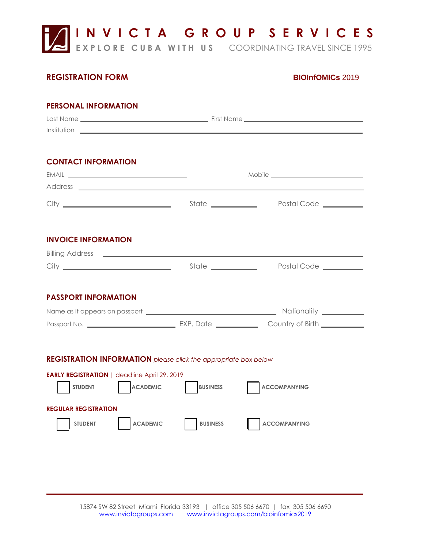**I N V I C T A G R O U P S E R V I C E S** 

**EXPLORE CUBA WITH US** COORDINATING TRAVEL SINCE 1995

## **REGISTRATION FORM BIOInfOMICs** 2019

# **PERSONAL INFORMATION** Last Name First Name Institution **CONTACT INFORMATION** EMAIL **EMAIL EMAIL EMAIL EMAIL** Address City State Postal Code **INVOICE INFORMATION** Billing Address City State Postal Code **PASSPORT INFORMATION** Name as it appears on passport Nationality Passport No. EXP. Date Country of Birth **REGISTRATION INFORMATION** *please click the appropriate box below* **EARLY REGISTRATION | deadline April 29, 2019** STUDENT **ACADEMIC** BUSINESS **ACCOMPANYING REGULAR REGISTRATION**  STUDENT **ACADEMIC BUSINESS** ACCOMPANYING

\_\_\_\_\_ \_\_\_\_\_\_\_\_\_\_\_\_\_\_\_\_\_\_\_\_\_\_\_\_\_\_\_\_\_\_\_\_\_\_\_\_\_\_\_ \_\_\_\_\_\_\_